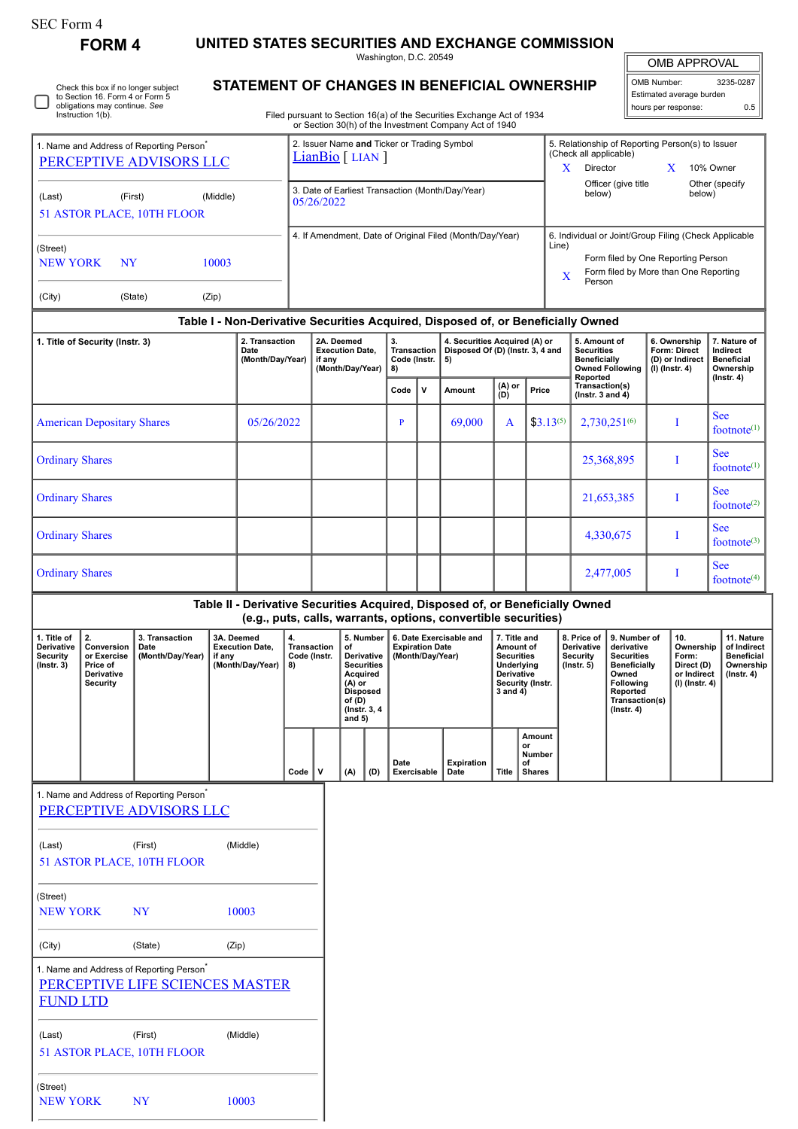| OMB Number:              | 3235-0287 |  |  |  |  |  |  |
|--------------------------|-----------|--|--|--|--|--|--|
| Estimated average burden |           |  |  |  |  |  |  |
| hours per response:      | 0.5       |  |  |  |  |  |  |

**7. Nature of Indirect Beneficial Ownership (Instr. 4)**

See  $footnote<sup>(1)</sup>$ 

See footnote $(1)$ 

See footnote $(2)$ 

See  $footnote<sup>(3)</sup>$ 

See  $footnote<sup>(4)</sup>$ 

> **11. Nature of Indirect Beneficial Ownership (Instr. 4)**

| <b>FORM 4</b><br>Check this box if no longer subject<br>to Section 16. Form 4 or Form 5<br>obligations may continue. See<br>Instruction 1(b). |                                                                              |                                                                                 |                                                                    |  | UNITED STATES SECURITIES AND EXCHANGE COMMISSION<br>Washington, D.C. 20549                                                                                                              |                                                                 |                                                                                                                                     |     |                                                                                                                                                             |             |                                                                               |                                                                                                                       |                                               |                                                                                                                                                              |                                                                                                              | <b>OMB APPROVAL</b>                                                                                                                            |                                                           |                                                                          |                                                               |
|-----------------------------------------------------------------------------------------------------------------------------------------------|------------------------------------------------------------------------------|---------------------------------------------------------------------------------|--------------------------------------------------------------------|--|-----------------------------------------------------------------------------------------------------------------------------------------------------------------------------------------|-----------------------------------------------------------------|-------------------------------------------------------------------------------------------------------------------------------------|-----|-------------------------------------------------------------------------------------------------------------------------------------------------------------|-------------|-------------------------------------------------------------------------------|-----------------------------------------------------------------------------------------------------------------------|-----------------------------------------------|--------------------------------------------------------------------------------------------------------------------------------------------------------------|--------------------------------------------------------------------------------------------------------------|------------------------------------------------------------------------------------------------------------------------------------------------|-----------------------------------------------------------|--------------------------------------------------------------------------|---------------------------------------------------------------|
|                                                                                                                                               |                                                                              |                                                                                 |                                                                    |  | <b>STATEMENT OF CHANGES IN BENEFICIAL OWNERSHIP</b><br>Filed pursuant to Section 16(a) of the Securities Exchange Act of 1934<br>or Section 30(h) of the Investment Company Act of 1940 |                                                                 |                                                                                                                                     |     |                                                                                                                                                             |             |                                                                               |                                                                                                                       |                                               |                                                                                                                                                              |                                                                                                              | OMB Number:<br>3235-0287<br>Estimated average burden<br>hours per response:                                                                    |                                                           |                                                                          |                                                               |
| 1. Name and Address of Reporting Person <sup>*</sup><br>PERCEPTIVE ADVISORS LLC                                                               |                                                                              |                                                                                 |                                                                    |  |                                                                                                                                                                                         | 2. Issuer Name and Ticker or Trading Symbol<br>LianBio [ LIAN ] |                                                                                                                                     |     |                                                                                                                                                             |             |                                                                               |                                                                                                                       |                                               |                                                                                                                                                              | 5. Relationship of Reporting Person(s) to Issuer<br>(Check all applicable)<br>10% Owner<br>$X$ Director<br>X |                                                                                                                                                |                                                           |                                                                          |                                                               |
| (First)<br>(Middle)<br>(Last)<br>51 ASTOR PLACE, 10TH FLOOR                                                                                   |                                                                              |                                                                                 |                                                                    |  |                                                                                                                                                                                         | 3. Date of Earliest Transaction (Month/Day/Year)<br>05/26/2022  |                                                                                                                                     |     |                                                                                                                                                             |             |                                                                               |                                                                                                                       |                                               |                                                                                                                                                              | Officer (give title<br>Other (specify<br>below)<br>below)                                                    |                                                                                                                                                |                                                           |                                                                          |                                                               |
| (Street)<br><b>NEW YORK</b><br>10003<br>NY                                                                                                    |                                                                              |                                                                                 |                                                                    |  | 4. If Amendment, Date of Original Filed (Month/Day/Year)                                                                                                                                |                                                                 |                                                                                                                                     |     |                                                                                                                                                             |             |                                                                               |                                                                                                                       |                                               | 6. Individual or Joint/Group Filing (Check Applicable<br>Line)<br>Form filed by One Reporting Person<br>Form filed by More than One Reporting<br>X<br>Person |                                                                                                              |                                                                                                                                                |                                                           |                                                                          |                                                               |
| (City)                                                                                                                                        |                                                                              | (State)                                                                         | (Zip)                                                              |  |                                                                                                                                                                                         |                                                                 |                                                                                                                                     |     |                                                                                                                                                             |             |                                                                               |                                                                                                                       |                                               |                                                                                                                                                              |                                                                                                              |                                                                                                                                                |                                                           |                                                                          |                                                               |
| 1. Title of Security (Instr. 3)<br>Date                                                                                                       |                                                                              |                                                                                 | 2. Transaction<br>(Month/Day/Year)                                 |  | 2A. Deemed<br><b>Execution Date,</b><br>if any<br>(Month/Day/Year)                                                                                                                      |                                                                 | 3.<br>Transaction<br>Code (Instr.<br>8)                                                                                             |     | Table I - Non-Derivative Securities Acquired, Disposed of, or Beneficially Owned<br>4. Securities Acquired (A) or<br>Disposed Of (D) (Instr. 3, 4 and<br>5) |             |                                                                               | 5. Amount of<br><b>Securities</b><br><b>Beneficially</b><br><b>Owned Following</b>                                    |                                               |                                                                                                                                                              |                                                                                                              | 6. Ownership<br>Form: Direct<br>(D) or Indirect<br>$(I)$ (Instr. 4)                                                                            | 7. Nature o<br>Indirect<br><b>Beneficial</b><br>Ownership |                                                                          |                                                               |
|                                                                                                                                               |                                                                              |                                                                                 |                                                                    |  |                                                                                                                                                                                         |                                                                 |                                                                                                                                     |     | Code                                                                                                                                                        | $\mathbf v$ | Amount                                                                        | (A) or<br>(D)                                                                                                         | Price                                         |                                                                                                                                                              | Reported<br>Transaction(s)<br>( $lnstr. 3 and 4$ )                                                           |                                                                                                                                                |                                                           |                                                                          | (Instr. 4)                                                    |
| <b>American Depositary Shares</b>                                                                                                             |                                                                              |                                                                                 | 05/26/2022                                                         |  |                                                                                                                                                                                         |                                                                 | $\mathbf{P}$                                                                                                                        |     | 69,000                                                                                                                                                      | A           | $$3.13^{(5)}$                                                                 |                                                                                                                       |                                               | $2,730,251^{(6)}$                                                                                                                                            |                                                                                                              | T                                                                                                                                              | <b>See</b><br>footnote <sup>(</sup>                       |                                                                          |                                                               |
| <b>Ordinary Shares</b>                                                                                                                        |                                                                              |                                                                                 |                                                                    |  |                                                                                                                                                                                         |                                                                 |                                                                                                                                     |     |                                                                                                                                                             |             |                                                                               |                                                                                                                       |                                               |                                                                                                                                                              | 25,368,895                                                                                                   |                                                                                                                                                | T                                                         | <b>See</b><br>footnote <sup>(</sup>                                      |                                                               |
| <b>Ordinary Shares</b>                                                                                                                        |                                                                              |                                                                                 |                                                                    |  |                                                                                                                                                                                         |                                                                 |                                                                                                                                     |     |                                                                                                                                                             |             |                                                                               |                                                                                                                       |                                               |                                                                                                                                                              |                                                                                                              | 21,653,385                                                                                                                                     |                                                           | T                                                                        | <b>See</b><br>footnote <sup>(</sup>                           |
| <b>Ordinary Shares</b>                                                                                                                        |                                                                              |                                                                                 |                                                                    |  |                                                                                                                                                                                         |                                                                 |                                                                                                                                     |     |                                                                                                                                                             |             |                                                                               |                                                                                                                       |                                               |                                                                                                                                                              | 4,330,675                                                                                                    |                                                                                                                                                | T                                                         | <b>See</b><br>footnote <sup>(</sup>                                      |                                                               |
| <b>Ordinary Shares</b>                                                                                                                        |                                                                              |                                                                                 |                                                                    |  |                                                                                                                                                                                         |                                                                 |                                                                                                                                     |     |                                                                                                                                                             |             |                                                                               |                                                                                                                       |                                               |                                                                                                                                                              | 2,477,005                                                                                                    |                                                                                                                                                | $\perp$                                                   | <b>See</b><br>footnote <sup>(</sup>                                      |                                                               |
|                                                                                                                                               |                                                                              |                                                                                 |                                                                    |  |                                                                                                                                                                                         |                                                                 |                                                                                                                                     |     |                                                                                                                                                             |             | Table II - Derivative Securities Acquired, Disposed of, or Beneficially Owned |                                                                                                                       |                                               |                                                                                                                                                              |                                                                                                              |                                                                                                                                                |                                                           |                                                                          |                                                               |
| 1. Title of<br><b>Derivative</b><br><b>Security</b><br>$($ lnstr. 3 $)$                                                                       | 2.<br>Conversion<br>or Exercise<br>Price of<br>Derivative<br><b>Security</b> | 3. Transaction<br>Date<br>(Month/Day/Year)                                      | 3A. Deemed<br><b>Execution Date,</b><br>if any<br>(Month/Day/Year) |  | 4.<br><b>Transaction</b><br>Code (Instr.<br>8)                                                                                                                                          |                                                                 | 5. Number<br>of<br>Derivative<br><b>Securities</b><br>Acquired<br>$(A)$ or<br><b>Disposed</b><br>of (D)<br>(Instr. 3, 4<br>and $5)$ |     | (e.g., puts, calls, warrants, options, convertible securities)<br>6. Date Exercisable and<br><b>Expiration Date</b><br>(Month/Day/Year)                     |             |                                                                               | 7. Title and<br>Amount of<br><b>Securities</b><br>Underlying<br><b>Derivative</b><br>Security (Instr.<br>$3$ and $4)$ |                                               |                                                                                                                                                              | 8. Price of<br>Derivative<br><b>Security</b><br>$($ lnstr. 5 $)$                                             | 9. Number of<br>derivative<br><b>Securities</b><br><b>Beneficially</b><br>Owned<br>Following<br>Reported<br>Transaction(s)<br>$($ Instr. 4 $)$ |                                                           | 10.<br>Ownership<br>Form:<br>Direct (D)<br>or Indirect<br>(I) (Instr. 4) | 11. Natu<br>of Indir<br><b>Benefic</b><br>Owners<br>(Instr. 4 |
|                                                                                                                                               |                                                                              |                                                                                 |                                                                    |  | Code                                                                                                                                                                                    | v                                                               | (A)                                                                                                                                 | (D) | Date                                                                                                                                                        | Exercisable | <b>Expiration</b><br>Date                                                     | Title                                                                                                                 | Amount<br>or<br>Number<br>οf<br><b>Shares</b> |                                                                                                                                                              |                                                                                                              |                                                                                                                                                |                                                           |                                                                          |                                                               |
|                                                                                                                                               |                                                                              | 1. Name and Address of Reporting Person <sup>®</sup><br>PERCEPTIVE ADVISORS LLC |                                                                    |  |                                                                                                                                                                                         |                                                                 |                                                                                                                                     |     |                                                                                                                                                             |             |                                                                               |                                                                                                                       |                                               |                                                                                                                                                              |                                                                                                              |                                                                                                                                                |                                                           |                                                                          |                                                               |

NEW YORK NY 10003

(City) (State) (Zip)

[PERCEPTIVE LIFE SCIENCES MASTER](http://www.sec.gov/cgi-bin/browse-edgar?action=getcompany&CIK=0001249675)

(Last) (First) (Middle)

NEW YORK NY 10003

1. Name and Address of Reporting Person<sup>7</sup>

51 ASTOR PLACE, 10TH FLOOR

FUND LTD

(Street)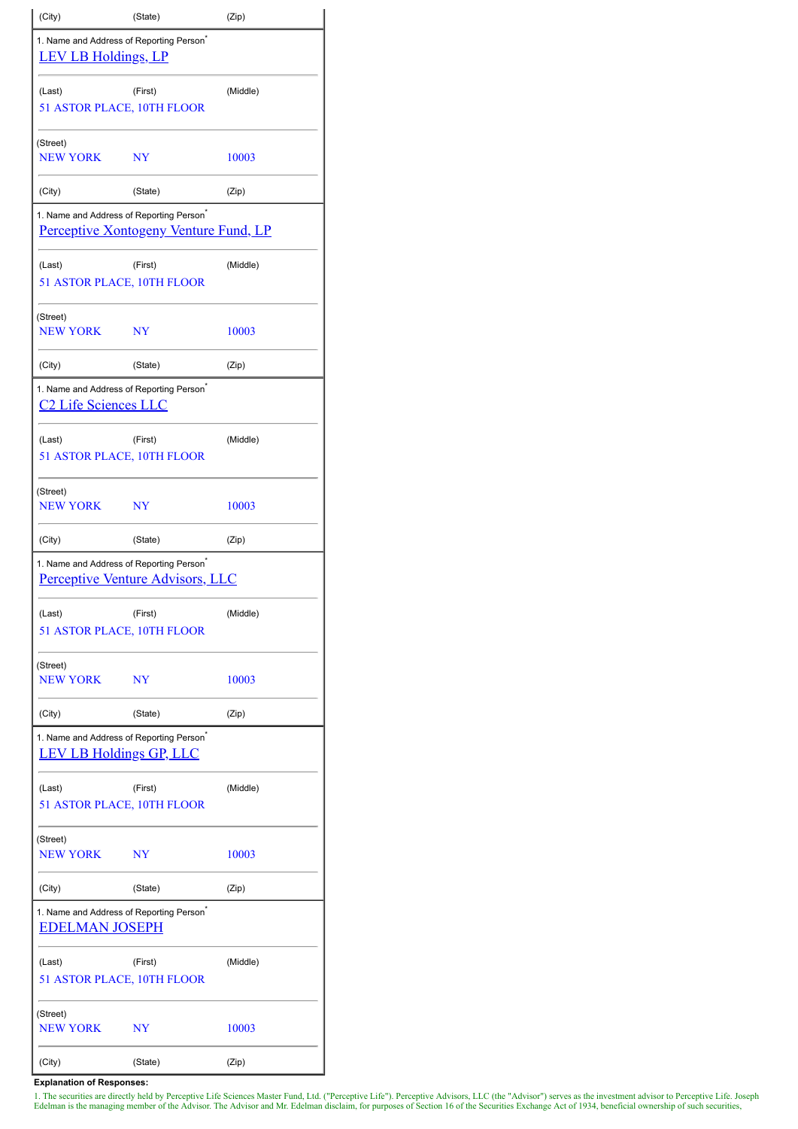| (City)                               | (State)                                                                                         | (Zip)    |  |  |  |  |  |
|--------------------------------------|-------------------------------------------------------------------------------------------------|----------|--|--|--|--|--|
| <b>LEV LB Holdings, LP</b>           | 1. Name and Address of Reporting Person <sup>®</sup>                                            |          |  |  |  |  |  |
| (Last)<br>51 ASTOR PLACE, 10TH FLOOR | (Middle)                                                                                        |          |  |  |  |  |  |
| (Street)<br><b>NEW YORK</b>          | NY                                                                                              | 10003    |  |  |  |  |  |
| (City)                               | (State)                                                                                         | (Zip)    |  |  |  |  |  |
|                                      | 1. Name and Address of Reporting Person <sup>®</sup><br>Perceptive Xontogeny Venture Fund, LP   |          |  |  |  |  |  |
| (Last)                               | (First)<br>51 ASTOR PLACE, 10TH FLOOR                                                           | (Middle) |  |  |  |  |  |
| (Street)<br><b>NEW YORK</b>          | $_{\rm NY}$                                                                                     | 10003    |  |  |  |  |  |
| (City)                               | (State)                                                                                         | (Zip)    |  |  |  |  |  |
| <b>C2 Life Sciences LLC</b>          | 1. Name and Address of Reporting Person <sup>®</sup>                                            |          |  |  |  |  |  |
| (Last)                               | (First)<br>51 ASTOR PLACE, 10TH FLOOR                                                           | (Middle) |  |  |  |  |  |
| (Street)<br><b>NEW YORK</b>          | $_{\rm NY}$                                                                                     | 10003    |  |  |  |  |  |
| (City)                               | (State)                                                                                         | (Zip)    |  |  |  |  |  |
|                                      | 1. Name and Address of Reporting Person <sup>*</sup><br><b>Perceptive Venture Advisors, LLC</b> |          |  |  |  |  |  |
| (Last)                               | (First)<br>51 ASTOR PLACE, 10TH FLOOR                                                           | (Middle) |  |  |  |  |  |
| (Street)<br><b>NEW YORK</b>          | NY                                                                                              | 10003    |  |  |  |  |  |
| (City)                               | (State)                                                                                         | (Zip)    |  |  |  |  |  |
| <b>LEV LB Holdings GP, LLC</b>       | 1. Name and Address of Reporting Person <sup>®</sup>                                            |          |  |  |  |  |  |
| (Last)                               | (First)<br>51 ASTOR PLACE, 10TH FLOOR                                                           | (Middle) |  |  |  |  |  |
| (Street)<br><b>NEW YORK</b>          | NY                                                                                              | 10003    |  |  |  |  |  |
| (City)                               | (State)                                                                                         | (Zip)    |  |  |  |  |  |
| <b>EDELMAN JOSEPH</b>                | 1. Name and Address of Reporting Person <sup>*</sup>                                            |          |  |  |  |  |  |
| (Last)                               | (First)<br>51 ASTOR PLACE, 10TH FLOOR                                                           | (Middle) |  |  |  |  |  |
| (Street)<br>NEW YORK                 | NY                                                                                              | 10003    |  |  |  |  |  |
| (City)                               | (State)                                                                                         | (Zip)    |  |  |  |  |  |

**Explanation of Responses:**

1. The securities are directly held by Perceptive Life Sciences Master Fund, Ltd. ("Perceptive Life"). Perceptive Advisors, LLC (the "Advisor") serves as the investment advisor to Perceptive Life. Joseph Edelman is the man